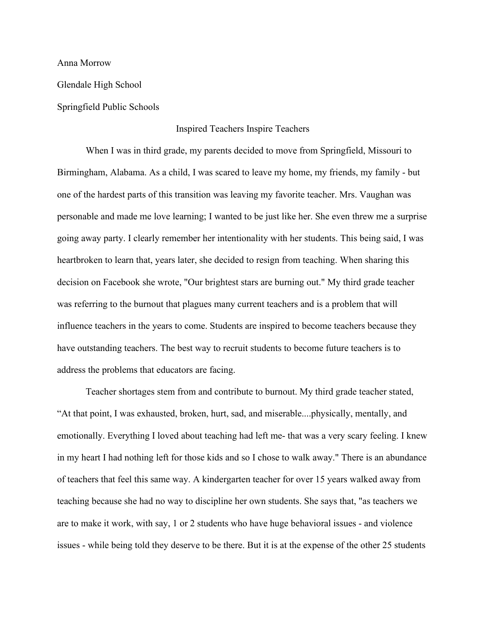Anna Morrow

Glendale High School

Springfield Public Schools

## Inspired Teachers Inspire Teachers

When I was in third grade, my parents decided to move from Springfield, Missouri to Birmingham, Alabama. As a child, I was scared to leave my home, my friends, my family - but one of the hardest parts of this transition was leaving my favorite teacher. Mrs. Vaughan was personable and made me love learning; I wanted to be just like her. She even threw me a surprise going away party. I clearly remember her intentionality with her students. This being said, I was heartbroken to learn that, years later, she decided to resign from teaching. When sharing this decision on Facebook she wrote, "Our brightest stars are burning out." My third grade teacher was referring to the burnout that plagues many current teachers and is a problem that will influence teachers in the years to come. Students are inspired to become teachers because they have outstanding teachers. The best way to recruit students to become future teachers is to address the problems that educators are facing.

Teacher shortages stem from and contribute to burnout. My third grade teacher stated, "At that point, I was exhausted, broken, hurt, sad, and miserable....physically, mentally, and emotionally. Everything I loved about teaching had left me- that was a very scary feeling. I knew in my heart I had nothing left for those kids and so I chose to walk away." There is an abundance of teachers that feel this same way. A kindergarten teacher for over 15 years walked away from teaching because she had no way to discipline her own students. She says that, "as teachers we are to make it work, with say, 1 or 2 students who have huge behavioral issues - and violence issues - while being told they deserve to be there. But it is at the expense of the other 25 students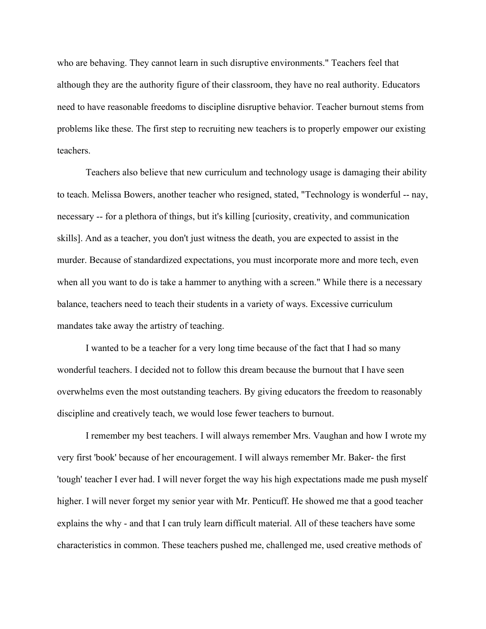who are behaving. They cannot learn in such disruptive environments." Teachers feel that although they are the authority figure of their classroom, they have no real authority. Educators need to have reasonable freedoms to discipline disruptive behavior. Teacher burnout stems from problems like these. The first step to recruiting new teachers is to properly empower our existing teachers.

Teachers also believe that new curriculum and technology usage is damaging their ability to teach. Melissa Bowers, another teacher who resigned, stated, "Technology is wonderful -- nay, necessary -- for a plethora of things, but it's killing [curiosity, creativity, and communication skills]. And as a teacher, you don't just witness the death, you are expected to assist in the murder. Because of standardized expectations, you must incorporate more and more tech, even when all you want to do is take a hammer to anything with a screen." While there is a necessary balance, teachers need to teach their students in a variety of ways. Excessive curriculum mandates take away the artistry of teaching.

I wanted to be a teacher for a very long time because of the fact that I had so many wonderful teachers. I decided not to follow this dream because the burnout that I have seen overwhelms even the most outstanding teachers. By giving educators the freedom to reasonably discipline and creatively teach, we would lose fewer teachers to burnout.

I remember my best teachers. I will always remember Mrs. Vaughan and how I wrote my very first 'book' because of her encouragement. I will always remember Mr. Baker- the first 'tough' teacher I ever had. I will never forget the way his high expectations made me push myself higher. I will never forget my senior year with Mr. Penticuff. He showed me that a good teacher explains the why - and that I can truly learn difficult material. All of these teachers have some characteristics in common. These teachers pushed me, challenged me, used creative methods of